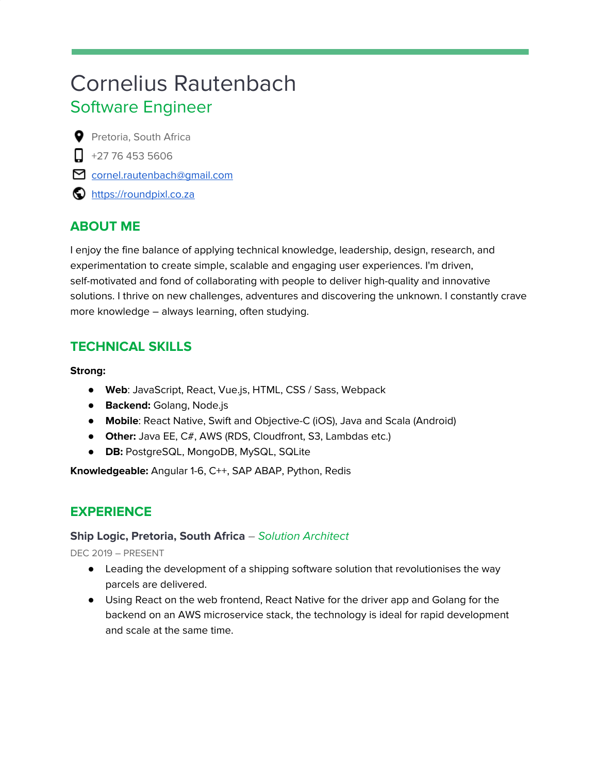# Cornelius Rautenbach Software Engineer

**P** Pretoria, South Africa

- $\Box$  +27 76 453 5606
- cornel.rautenbach@qmail.com
- **O** [https://roundpixl.co.za](https://roundpixl.co.za/)

# **ABOUT ME**

I enjoy the fine balance of applying technical knowledge, leadership, design, research, and experimentation to create simple, scalable and engaging user experiences. I'm driven, self-motivated and fond of collaborating with people to deliver high-quality and innovative solutions. I thrive on new challenges, adventures and discovering the unknown. I constantly crave more knowledge – always learning, often studying.

# **TECHNICAL SKILLS**

#### **Strong:**

- **Web**: JavaScript, React, Vue.js, HTML, CSS / Sass, Webpack
- **Backend:** Golang, Node.js
- **Mobile**: React Native, Swift and Objective-C (iOS), Java and Scala (Android)
- **Other:** Java EE, C#, AWS (RDS, Cloudfront, S3, Lambdas etc.)
- **DB:** PostgreSQL, MongoDB, MySQL, SQLite

**Knowledgeable:** Angular 1-6, C++, SAP ABAP, Python, Redis

# **EXPERIENCE**

## **Ship Logic, Pretoria, South Africa** – Solution Architect

DEC 2019 – PRESENT

- Leading the development of a shipping software solution that revolutionises the way parcels are delivered.
- Using React on the web frontend, React Native for the driver app and Golang for the backend on an AWS microservice stack, the technology is ideal for rapid development and scale at the same time.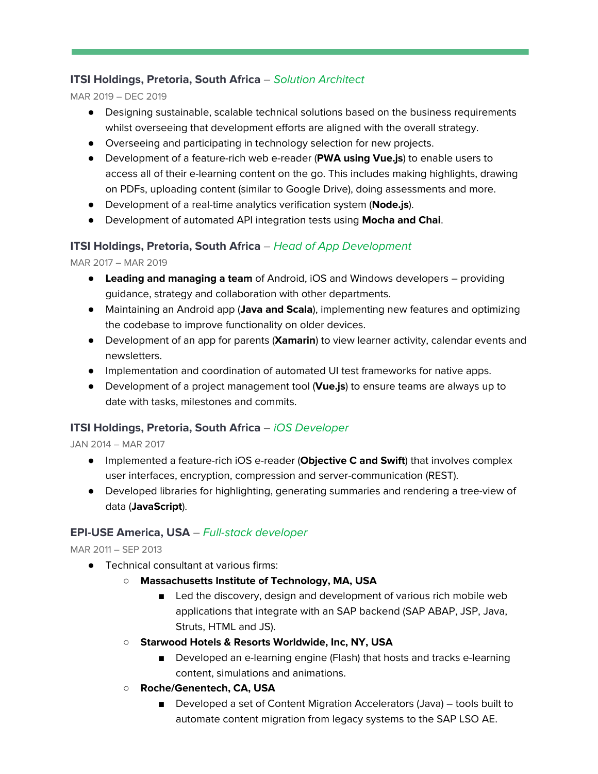## **ITSI Holdings, Pretoria, South Africa** – Solution Architect

MAR 2019 – DEC 2019

- Designing sustainable, scalable technical solutions based on the business requirements whilst overseeing that development efforts are aligned with the overall strategy.
- Overseeing and participating in technology selection for new projects.
- Development of a feature-rich web e-reader (**PWA using Vue.js**) to enable users to access all of their e-learning content on the go. This includes making highlights, drawing on PDFs, uploading content (similar to Google Drive), doing assessments and more.
- Development of a real-time analytics verification system (**Node.js**).
- Development of automated API integration tests using **Mocha and Chai**.

## **ITSI Holdings, Pretoria, South Africa** – Head of App Development

MAR 2017 – MAR 2019

- **Leading and managing a team** of Android, iOS and Windows developers providing guidance, strategy and collaboration with other departments.
- Maintaining an Android app (**Java and Scala**), implementing new features and optimizing the codebase to improve functionality on older devices.
- Development of an app for parents (**Xamarin**) to view learner activity, calendar events and newsletters.
- Implementation and coordination of automated UI test frameworks for native apps.
- Development of a project management tool (**Vue.js**) to ensure teams are always up to date with tasks, milestones and commits.

## **ITSI Holdings, Pretoria, South Africa** – iOS Developer

JAN 2014 – MAR 2017

- Implemented a feature-rich iOS e-reader (**Objective C and Swift**) that involves complex user interfaces, encryption, compression and server-communication (REST).
- Developed libraries for highlighting, generating summaries and rendering a tree-view of data (**JavaScript**).

## **EPI-USE America, USA** – Full-stack developer

MAR 2011 – SEP 2013

- Technical consultant at various firms:
	- **○ Massachusetts Institute of Technology, MA, USA**
		- Led the discovery, design and development of various rich mobile web applications that integrate with an SAP backend (SAP ABAP, JSP, Java, Struts, HTML and JS).
	- **○ Starwood Hotels & Resorts Worldwide, Inc, NY, USA**
		- Developed an e-learning engine (Flash) that hosts and tracks e-learning content, simulations and animations.
	- **○ Roche/Genentech, CA, USA**
		- Developed a set of Content Migration Accelerators (Java) tools built to automate content migration from legacy systems to the SAP LSO AE.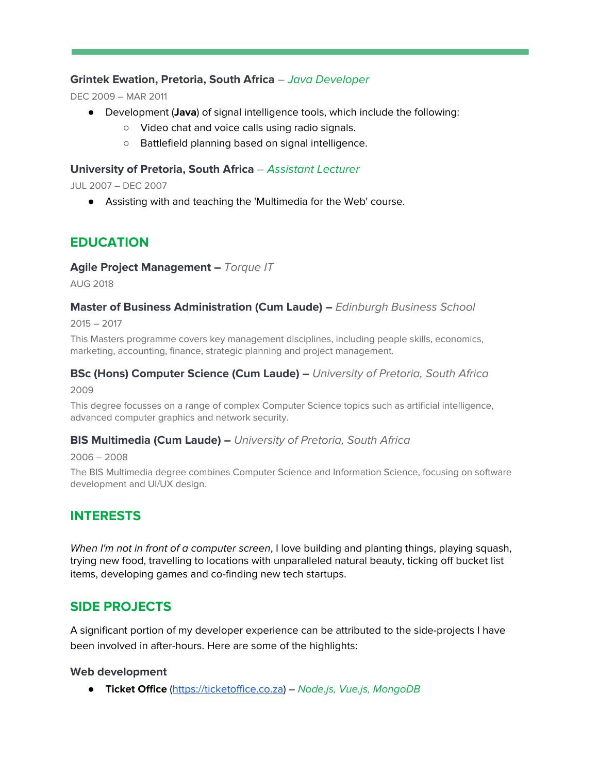### **Grintek Ewation, Pretoria, South Africa** – Java Developer

DEC 2009 – MAR 2011

- Development (**Java**) of signal intelligence tools, which include the following:
	- Video chat and voice calls using radio signals.
	- Battlefield planning based on signal intelligence.

#### **University of Pretoria, South Africa** – Assistant Lecturer

JUL 2007 – DEC 2007

● Assisting with and teaching the 'Multimedia for the Web' course.

## **EDUCATION**

#### **Agile Project Management –** Torque IT

AUG 2018

#### **Master of Business Administration (Cum Laude) –** Edinburgh Business School

2015 – 2017

This Masters programme covers key management disciplines, including people skills, economics, marketing, accounting, finance, strategic planning and project management.

#### **BSc (Hons) Computer Science (Cum Laude) –** University of Pretoria, South Africa

2009

This degree focusses on a range of complex Computer Science topics such as artificial intelligence, advanced computer graphics and network security.

#### **BIS Multimedia (Cum Laude) –** University of Pretoria, South Africa

2006 – 2008

The BIS Multimedia degree combines Computer Science and Information Science, focusing on software development and UI/UX design.

## **INTERESTS**

When I'm not in front of a computer screen, I love building and planting things, playing squash, trying new food, travelling to locations with unparalleled natural beauty, ticking off bucket list items, developing games and co-finding new tech startups.

## **SIDE PROJECTS**

A significant portion of my developer experience can be attributed to the side-projects I have been involved in after-hours. Here are some of the highlights:

#### **Web development**

● **Ticket Office** ([https://ticketoffice.co.za](https://ticketoffice.co.za/)) – Node.js, Vue.js, MongoDB